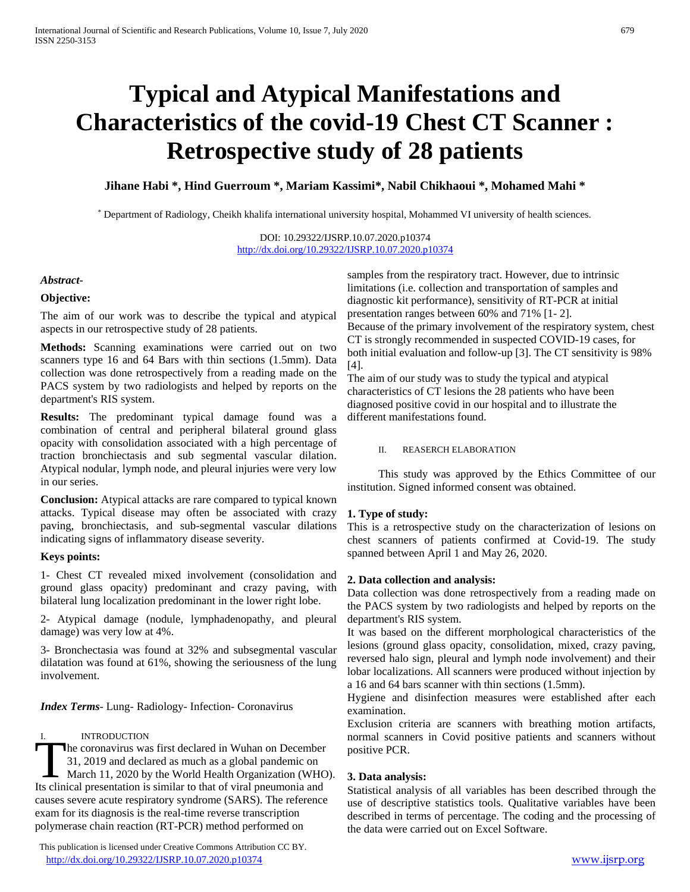# **Typical and Atypical Manifestations and Characteristics of the covid-19 Chest CT Scanner : Retrospective study of 28 patients**

**Jihane Habi \*, Hind Guerroum \*, Mariam Kassimi\*, Nabil Chikhaoui \*, Mohamed Mahi \***

\* Department of Radiology, Cheikh khalifa international university hospital, Mohammed VI university of health sciences.

DOI: 10.29322/IJSRP.10.07.2020.p10374 <http://dx.doi.org/10.29322/IJSRP.10.07.2020.p10374>

## *Abstract***-**

## **Objective:**

The aim of our work was to describe the typical and atypical aspects in our retrospective study of 28 patients.

**Methods:** Scanning examinations were carried out on two scanners type 16 and 64 Bars with thin sections (1.5mm). Data collection was done retrospectively from a reading made on the PACS system by two radiologists and helped by reports on the department's RIS system.

**Results:** The predominant typical damage found was a combination of central and peripheral bilateral ground glass opacity with consolidation associated with a high percentage of traction bronchiectasis and sub segmental vascular dilation. Atypical nodular, lymph node, and pleural injuries were very low in our series.

**Conclusion:** Atypical attacks are rare compared to typical known attacks. Typical disease may often be associated with crazy paving, bronchiectasis, and sub-segmental vascular dilations indicating signs of inflammatory disease severity.

## **Keys points:**

1- Chest CT revealed mixed involvement (consolidation and ground glass opacity) predominant and crazy paving, with bilateral lung localization predominant in the lower right lobe.

2- Atypical damage (nodule, lymphadenopathy, and pleural damage) was very low at 4%.

3- Bronchectasia was found at 32% and subsegmental vascular dilatation was found at 61%, showing the seriousness of the lung involvement.

*Index Terms*- Lung- Radiology- Infection- Coronavirus

## I. INTRODUCTION

he coronavirus was first declared in Wuhan on December 31, 2019 and declared as much as a global pandemic on March 11, 2020 by the World Health Organization (WHO). Its introduction<br>
1. The coronavirus was first declared in Wuhan on December<br>
1. 2019 and declared as much as a global pandemic on<br>
March 11, 2020 by the World Health Organization (WHC<br>
Its clinical presentation is similar causes severe acute respiratory syndrome (SARS). The reference exam for its diagnosis is the real-time reverse transcription polymerase chain reaction (RT-PCR) method performed on

 This publication is licensed under Creative Commons Attribution CC BY. <http://dx.doi.org/10.29322/IJSRP.10.07.2020.p10374> [www.ijsrp.org](http://ijsrp.org/)

samples from the respiratory tract. However, due to intrinsic limitations (i.e. collection and transportation of samples and diagnostic kit performance), sensitivity of RT-PCR at initial presentation ranges between 60% and 71% [1- 2]. Because of the primary involvement of the respiratory system, chest CT is strongly recommended in suspected COVID-19 cases, for both initial evaluation and follow-up [3]. The CT sensitivity is 98% [4].

The aim of our study was to study the typical and atypical characteristics of CT lesions the 28 patients who have been diagnosed positive covid in our hospital and to illustrate the different manifestations found.

#### II. REASERCH ELABORATION

This study was approved by the Ethics Committee of our institution. Signed informed consent was obtained.

## **1. Type of study:**

This is a retrospective study on the characterization of lesions on chest scanners of patients confirmed at Covid-19. The study spanned between April 1 and May 26, 2020.

#### **2. Data collection and analysis:**

Data collection was done retrospectively from a reading made on the PACS system by two radiologists and helped by reports on the department's RIS system.

It was based on the different morphological characteristics of the lesions (ground glass opacity, consolidation, mixed, crazy paving, reversed halo sign, pleural and lymph node involvement) and their lobar localizations. All scanners were produced without injection by a 16 and 64 bars scanner with thin sections (1.5mm).

Hygiene and disinfection measures were established after each examination.

Exclusion criteria are scanners with breathing motion artifacts, normal scanners in Covid positive patients and scanners without positive PCR.

## **3. Data analysis:**

Statistical analysis of all variables has been described through the use of descriptive statistics tools. Qualitative variables have been described in terms of percentage. The coding and the processing of the data were carried out on Excel Software.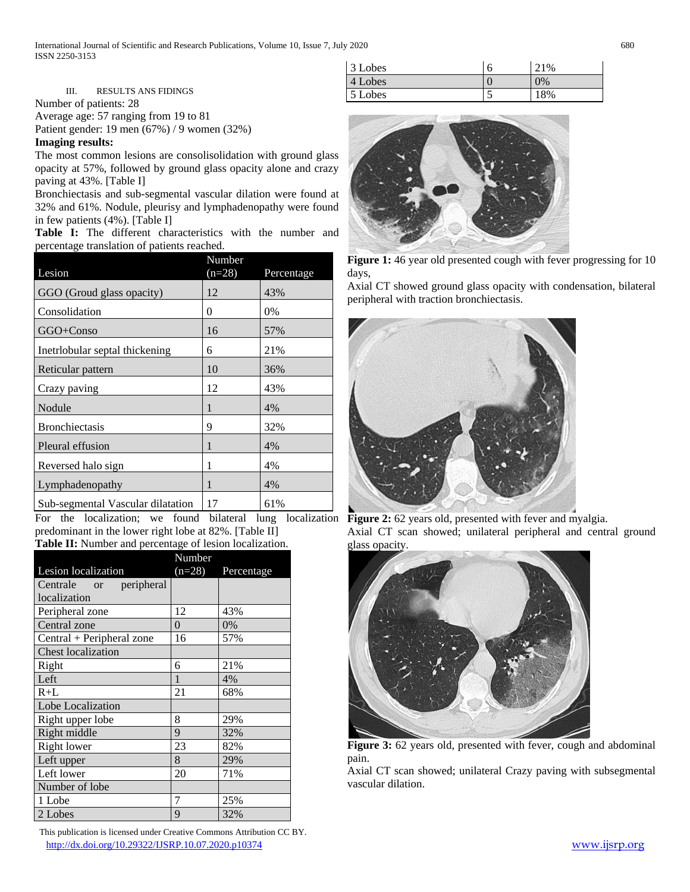International Journal of Scientific and Research Publications, Volume 10, Issue 7, July 2020 680 ISSN 2250-3153

| 3 Lobes | h  | 21%   |
|---------|----|-------|
| 4 Lobes |    | $0\%$ |
| 5 Lobes | ĥ. | 18%   |

III. RESULTS ANS FIDINGS

Number of patients: 28

Average age: 57 ranging from 19 to 81

Patient gender: 19 men (67%) / 9 women (32%)

**Imaging results:**

The most common lesions are consolisolidation with ground glass opacity at 57%, followed by ground glass opacity alone and crazy paving at 43%. [Table I]

Bronchiectasis and sub-segmental vascular dilation were found at 32% and 61%. Nodule, pleurisy and lymphadenopathy were found in few patients (4%). [Table I]

**Table I:** The different characteristics with the number and percentage translation of patients reached.

| Lesion                            | Number<br>$(n=28)$ | Percentage |
|-----------------------------------|--------------------|------------|
| GGO (Groud glass opacity)         | 12                 | 43%        |
| Consolidation                     | 0                  | 0%         |
| GGO+Conso                         | 16                 | 57%        |
| Inetrlobular septal thickening    | 6                  | 21%        |
| Reticular pattern                 | 10                 | 36%        |
| Crazy paving                      | 12                 | 43%        |
| Nodule                            | 1                  | 4%         |
| <b>Bronchiectasis</b>             | 9                  | 32%        |
| Pleural effusion                  | 1                  | 4%         |
| Reversed halo sign                | 1                  | 4%         |
| Lymphadenopathy                   | 1                  | 4%         |
| Sub-segmental Vascular dilatation | 17                 | 61%        |

For the localization; we found bilateral lung localization **Figure 2:** 62 years old, presented with fever and myalgia. predominant in the lower right lobe at 82%. [Table II] **Table II:** Number and percentage of lesion localization.

|                           | Number   |            |
|---------------------------|----------|------------|
| Lesion localization       | $(n=28)$ | Percentage |
| Centrale or peripheral    |          |            |
| localization              |          |            |
| Peripheral zone           | 12       | 43%        |
| Central zone              | $\Omega$ | 0%         |
| Central + Peripheral zone | 16       | 57%        |
| <b>Chest localization</b> |          |            |
| Right                     | 6        | 21%        |
| Left                      | 1        | 4%         |
| $R+L$                     | 21       | 68%        |
| Lobe Localization         |          |            |
| Right upper lobe          | 8        | 29%        |
| Right middle              | 9        | 32%        |
| <b>Right lower</b>        | 23       | 82%        |
| Left upper                | 8        | 29%        |
| Left lower                | 20       | 71%        |
| Number of lobe            |          |            |
| 1 Lobe                    | 7        | 25%        |
| 2 Lobes                   | 9        | 32%        |

 This publication is licensed under Creative Commons Attribution CC BY. <http://dx.doi.org/10.29322/IJSRP.10.07.2020.p10374> [www.ijsrp.org](http://ijsrp.org/)



**Figure 1:** 46 year old presented cough with fever progressing for 10 days,

Axial CT showed ground glass opacity with condensation, bilateral peripheral with traction bronchiectasis.



Axial CT scan showed; unilateral peripheral and central ground glass opacity.



**Figure 3:** 62 years old, presented with fever, cough and abdominal pain.

Axial CT scan showed; unilateral Crazy paving with subsegmental vascular dilation.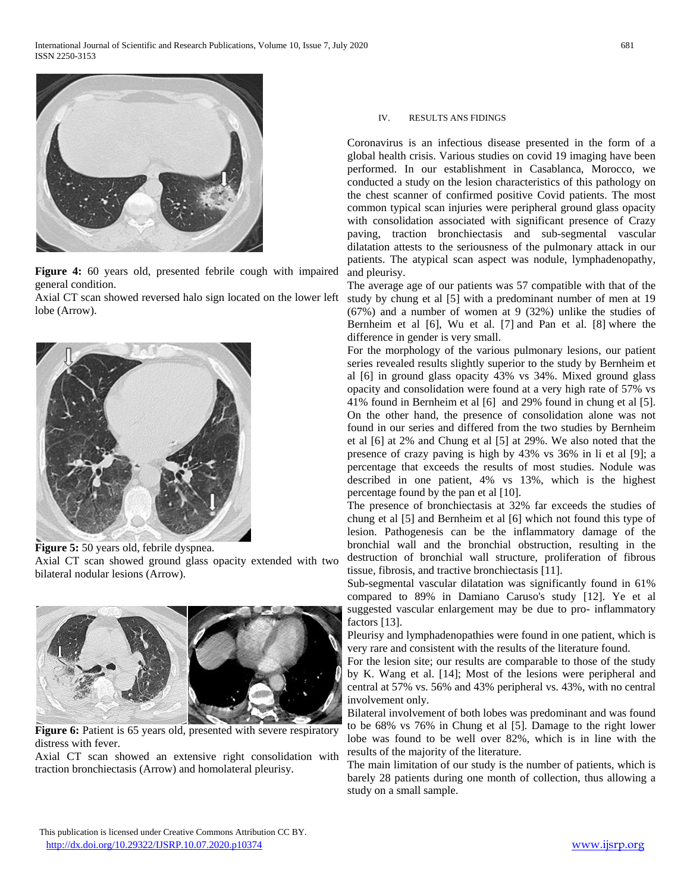

**Figure 4:** 60 years old, presented febrile cough with impaired general condition.

Axial CT scan showed reversed halo sign located on the lower left lobe (Arrow).



**Figure 5:** 50 years old, febrile dyspnea. Axial CT scan showed ground glass opacity extended with two bilateral nodular lesions (Arrow).



Figure 6: Patient is 65 years old, presented with severe respiratory distress with fever.

Axial CT scan showed an extensive right consolidation with traction bronchiectasis (Arrow) and homolateral pleurisy.

#### IV. RESULTS ANS FIDINGS

Coronavirus is an infectious disease presented in the form of a global health crisis. Various studies on covid 19 imaging have been performed. In our establishment in Casablanca, Morocco, we conducted a study on the lesion characteristics of this pathology on the chest scanner of confirmed positive Covid patients. The most common typical scan injuries were peripheral ground glass opacity with consolidation associated with significant presence of Crazy paving, traction bronchiectasis and sub-segmental vascular dilatation attests to the seriousness of the pulmonary attack in our patients. The atypical scan aspect was nodule, lymphadenopathy, and pleurisy.

The average age of our patients was 57 compatible with that of the study by chung et al [5] with a predominant number of men at 19 (67%) and a number of women at 9 (32%) unlike the studies of Bernheim et al [6], Wu et al. [7] and Pan et al. [8] where the difference in gender is very small.

For the morphology of the various pulmonary lesions, our patient series revealed results slightly superior to the study by Bernheim et al [6] in ground glass opacity 43% vs 34%. Mixed ground glass opacity and consolidation were found at a very high rate of 57% vs 41% found in Bernheim et al [6] and 29% found in chung et al [5]. On the other hand, the presence of consolidation alone was not found in our series and differed from the two studies by Bernheim et al [6] at 2% and Chung et al [5] at 29%. We also noted that the presence of crazy paving is high by 43% vs 36% in li et al [9]; a percentage that exceeds the results of most studies. Nodule was described in one patient, 4% vs 13%, which is the highest percentage found by the pan et al [10].

The presence of bronchiectasis at 32% far exceeds the studies of chung et al [5] and Bernheim et al [6] which not found this type of lesion. Pathogenesis can be the inflammatory damage of the bronchial wall and the bronchial obstruction, resulting in the destruction of bronchial wall structure, proliferation of fibrous tissue, fibrosis, and tractive bronchiectasis [11].

Sub-segmental vascular dilatation was significantly found in 61% compared to 89% in Damiano Caruso's study [12]. Ye et al suggested vascular enlargement may be due to pro- inflammatory factors [13].

Pleurisy and lymphadenopathies were found in one patient, which is very rare and consistent with the results of the literature found.

For the lesion site; our results are comparable to those of the study by K. Wang et al. [14]; Most of the lesions were peripheral and central at 57% vs. 56% and 43% peripheral vs. 43%, with no central involvement only.

Bilateral involvement of both lobes was predominant and was found to be 68% vs 76% in Chung et al [5]. Damage to the right lower lobe was found to be well over 82%, which is in line with the results of the majority of the literature.

The main limitation of our study is the number of patients, which is barely 28 patients during one month of collection, thus allowing a study on a small sample.

This publication is licensed under Creative Commons Attribution CC BY. <http://dx.doi.org/10.29322/IJSRP.10.07.2020.p10374> [www.ijsrp.org](http://ijsrp.org/)